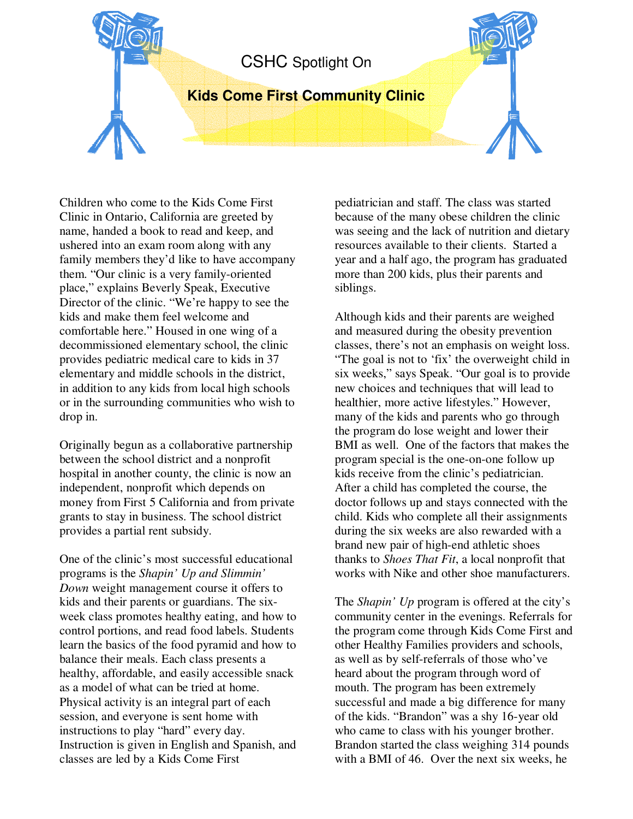## CSHC Spotlight On

## **Kids Come First Community Clinic**

Children who come to the Kids Come First Clinic in Ontario, California are greeted by name, handed a book to read and keep, and ushered into an exam room along with any family members they'd like to have accompany them. "Our clinic is a very family-oriented place," explains Beverly Speak, Executive Director of the clinic. "We're happy to see the kids and make them feel welcome and comfortable here." Housed in one wing of a decommissioned elementary school, the clinic provides pediatric medical care to kids in 37 elementary and middle schools in the district, in addition to any kids from local high schools or in the surrounding communities who wish to drop in.

Originally begun as a collaborative partnership between the school district and a nonprofit hospital in another county, the clinic is now an independent, nonprofit which depends on money from First 5 California and from private grants to stay in business. The school district provides a partial rent subsidy.

One of the clinic's most successful educational programs is the *Shapin' Up and Slimmin' Down* weight management course it offers to kids and their parents or guardians. The sixweek class promotes healthy eating, and how to control portions, and read food labels. Students learn the basics of the food pyramid and how to balance their meals. Each class presents a healthy, affordable, and easily accessible snack as a model of what can be tried at home. Physical activity is an integral part of each session, and everyone is sent home with instructions to play "hard" every day. Instruction is given in English and Spanish, and classes are led by a Kids Come First

pediatrician and staff. The class was started because of the many obese children the clinic was seeing and the lack of nutrition and dietary resources available to their clients. Started a year and a half ago, the program has graduated more than 200 kids, plus their parents and siblings.

Although kids and their parents are weighed and measured during the obesity prevention classes, there's not an emphasis on weight loss. "The goal is not to 'fix' the overweight child in six weeks," says Speak. "Our goal is to provide new choices and techniques that will lead to healthier, more active lifestyles." However, many of the kids and parents who go through the program do lose weight and lower their BMI as well. One of the factors that makes the program special is the one-on-one follow up kids receive from the clinic's pediatrician. After a child has completed the course, the doctor follows up and stays connected with the child. Kids who complete all their assignments during the six weeks are also rewarded with a brand new pair of high-end athletic shoes thanks to *Shoes That Fit*, a local nonprofit that works with Nike and other shoe manufacturers.

The *Shapin' Up* program is offered at the city's community center in the evenings. Referrals for the program come through Kids Come First and other Healthy Families providers and schools, as well as by self-referrals of those who've heard about the program through word of mouth. The program has been extremely successful and made a big difference for many of the kids. "Brandon" was a shy 16-year old who came to class with his younger brother. Brandon started the class weighing 314 pounds with a BMI of 46. Over the next six weeks, he